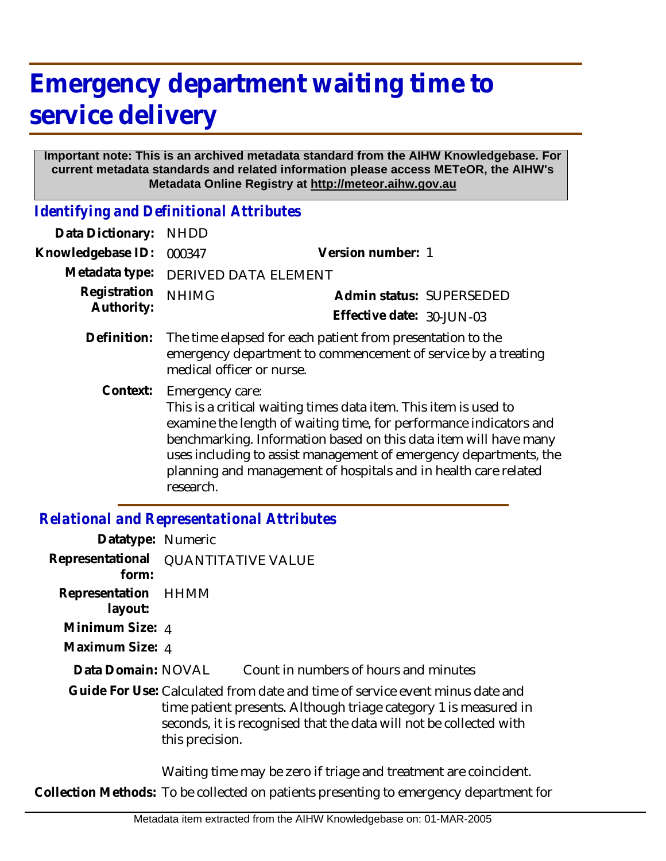# **Emergency department waiting time to service delivery**

#### **Important note: This is an archived metadata standard from the AIHW Knowledgebase. For current metadata standards and related information please access METeOR, the AIHW's Metadata Online Registry at http://meteor.aihw.gov.au**

*Identifying and Definitional Attributes*

| Data Dictionary:  | <b>NHDD</b>                                                                                                                                                                                                                                                                                                                                                                        |                           |  |  |
|-------------------|------------------------------------------------------------------------------------------------------------------------------------------------------------------------------------------------------------------------------------------------------------------------------------------------------------------------------------------------------------------------------------|---------------------------|--|--|
| Knowledgebase ID: | 000347                                                                                                                                                                                                                                                                                                                                                                             | Version number: 1         |  |  |
| Metadata type:    | <b>DERIVED DATA ELEMENT</b>                                                                                                                                                                                                                                                                                                                                                        |                           |  |  |
| Registration      | <b>NHIMG</b>                                                                                                                                                                                                                                                                                                                                                                       | Admin status: SUPERSEDED  |  |  |
| Authority:        |                                                                                                                                                                                                                                                                                                                                                                                    | Effective date: 30-JUN-03 |  |  |
| Definition:       | The time elapsed for each patient from presentation to the<br>emergency department to commencement of service by a treating<br>medical officer or nurse.                                                                                                                                                                                                                           |                           |  |  |
| Context:          | Emergency care:<br>This is a critical waiting times data item. This item is used to<br>examine the length of waiting time, for performance indicators and<br>benchmarking. Information based on this data item will have many<br>uses including to assist management of emergency departments, the<br>planning and management of hospitals and in health care related<br>research. |                           |  |  |

## *Relational and Representational Attributes*

| Datatype: Numeric         |                                                                                                                                                                                                                                           |  |
|---------------------------|-------------------------------------------------------------------------------------------------------------------------------------------------------------------------------------------------------------------------------------------|--|
| Representational<br>form: | <b>QUANTITATIVE VALUE</b>                                                                                                                                                                                                                 |  |
| Representation<br>layout: | HHMM                                                                                                                                                                                                                                      |  |
| Minimum Size: 4           |                                                                                                                                                                                                                                           |  |
| Maximum Size: 4           |                                                                                                                                                                                                                                           |  |
| Data Domain: NOVAL        | Count in numbers of hours and minutes                                                                                                                                                                                                     |  |
|                           | Guide For Use: Calculated from date and time of service event minus date and<br>time patient presents. Although triage category 1 is measured in<br>seconds, it is recognised that the data will not be collected with<br>this precision. |  |
|                           | Waiting time may be zero if triage and treatment are coincident.                                                                                                                                                                          |  |
|                           | Collection Methods: To be collected on patients presenting to emergency department for                                                                                                                                                    |  |